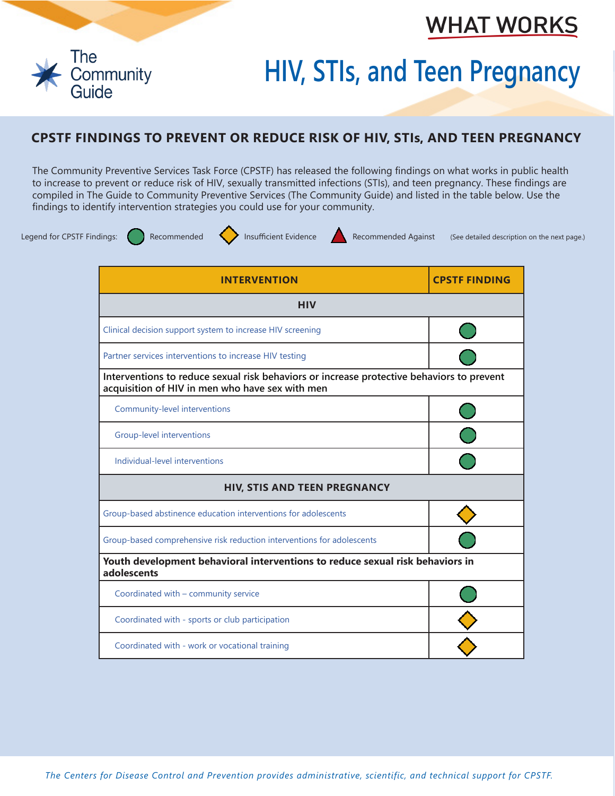## **WHAT WORKS**



## **HIV, STIs, and Teen Pregnancy**

## **CPSTF FINDINGS TO PREVENT OR REDUCE RISK OF HIV, STIs, AND TEEN PREGNANCY**

The Community Preventive Services Task Force (CPSTF) has released the following findings on what works in public health to increase to prevent or reduce risk of HIV, sexually transmitted infections (STIs), and teen pregnancy. These findings are compiled in The Guide to Community Preventive Services (The Community Guide) and listed in the table below. Use the findings to identify intervention strategies you could use for your community.



Legend for CPSTF Findings: (a) Recommended (a) Insufficient Evidence Recommended Against (See detailed description on the next page.)

| <b>INTERVENTION</b>                                                                                                                          | <b>CPSTF FINDING</b> |  |
|----------------------------------------------------------------------------------------------------------------------------------------------|----------------------|--|
| <b>HIV</b>                                                                                                                                   |                      |  |
| Clinical decision support system to increase HIV screening                                                                                   |                      |  |
| Partner services interventions to increase HIV testing                                                                                       |                      |  |
| Interventions to reduce sexual risk behaviors or increase protective behaviors to prevent<br>acquisition of HIV in men who have sex with men |                      |  |
| Community-level interventions                                                                                                                |                      |  |
| <b>Group-level interventions</b>                                                                                                             |                      |  |
| Individual-level interventions                                                                                                               |                      |  |
| <b>HIV, STIS AND TEEN PREGNANCY</b>                                                                                                          |                      |  |
| Group-based abstinence education interventions for adolescents                                                                               |                      |  |
| Group-based comprehensive risk reduction interventions for adolescents                                                                       |                      |  |
| Youth development behavioral interventions to reduce sexual risk behaviors in<br>adolescents                                                 |                      |  |
| Coordinated with - community service                                                                                                         |                      |  |
| Coordinated with - sports or club participation                                                                                              |                      |  |
| Coordinated with - work or vocational training                                                                                               |                      |  |